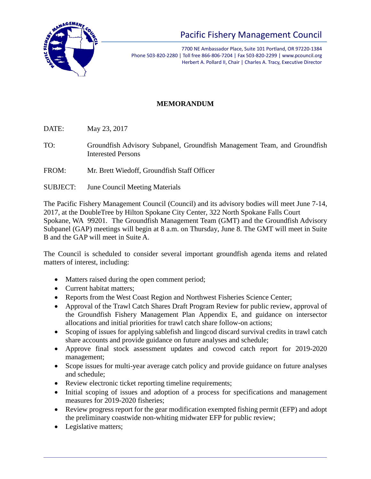

## Pacific Fishery Management Council

7700 NE Ambassador Place, Suite 101 Portland, OR 97220-1384 Phone 503-820-2280 | Toll free 866-806-7204 | Fax 503-820-2299 | www.pcouncil.org Herbert A. Pollard II, Chair | Charles A. Tracy, Executive Director

## **MEMORANDUM**

DATE: May 23, 2017

- TO: Groundfish Advisory Subpanel, Groundfish Management Team, and Groundfish Interested Persons
- FROM: Mr. Brett Wiedoff, Groundfish Staff Officer
- SUBJECT: June Council Meeting Materials

The Pacific Fishery Management Council (Council) and its advisory bodies will meet June 7-14, 2017, at the DoubleTree by Hilton Spokane City Center, 322 North Spokane Falls Court Spokane, WA 99201. The Groundfish Management Team (GMT) and the Groundfish Advisory Subpanel (GAP) meetings will begin at 8 a.m. on Thursday, June 8. The GMT will meet in Suite B and the GAP will meet in Suite A.

The Council is scheduled to consider several important groundfish agenda items and related matters of interest, including:

- Matters raised during the open comment period;
- Current habitat matters;
- Reports from the West Coast Region and Northwest Fisheries Science Center;
- Approval of the Trawl Catch Shares Draft Program Review for public review, approval of the Groundfish Fishery Management Plan Appendix E, and guidance on intersector allocations and initial priorities for trawl catch share follow-on actions;
- Scoping of issues for applying sablefish and lingcod discard survival credits in trawl catch share accounts and provide guidance on future analyses and schedule;
- Approve final stock assessment updates and cowcod catch report for 2019-2020 management;
- Scope issues for multi-year average catch policy and provide guidance on future analyses and schedule;
- Review electronic ticket reporting timeline requirements;
- Initial scoping of issues and adoption of a process for specifications and management measures for 2019-2020 fisheries;
- Review progress report for the gear modification exempted fishing permit (EFP) and adopt the preliminary coastwide non-whiting midwater EFP for public review;
- Legislative matters;